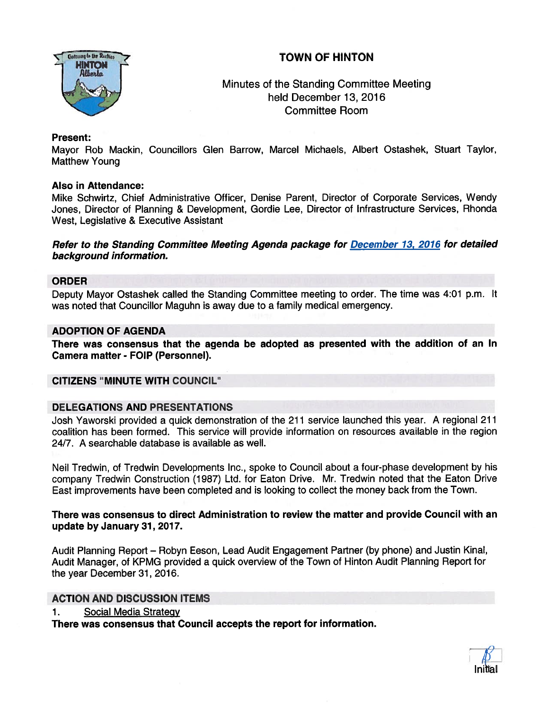# TOWN OF HINTON



Minutes of the Standing Committee Meeting held December 13, 2016 Committee Room

## Present:

Mayor Rob Mackin, Councillors Glen Barrow, Marcel Michaels, Albert Ostashek, Stuart Taylor, Matthew Young

## Also in Attendance:

Mike Schwirtz, Chief Administrative Officer, Denise Parent, Director of Corporate Services, Wendy Jones, Director of Planning & Development, Gordie Lee, Director of Infrastructure Services, Rhonda West, Legislative & Executive Assistant

Refer to the Standing Committee Meeting Agenda package for December 13, 2076 for detailed background information.

## ORDER

Deputy Mayor Ostashek called the Standing Committee meeting to order. The time was 4:01 p.m. It was noted that Counclllor Maguhn is away due to <sup>a</sup> family medical emergency.

## ADOPTION OF AGENDA

There was consensus that the agenda be adopted as presented with the addition of an In Camera matter - FOIP (Personnel).

#### CITIZENS 'MINUTE WITH COUNCIL"

## DELEGATIONS AND PRESENTATIONS

Josh Yaworski provided <sup>a</sup> quick demonstration of the 211 service launched this year. A regional 211 coalition has been formed. This service will provide information on resources available in the region 24/7. A searchable database is available as well.

Neil Tredwin, of Tredwin Developments Inc., spoke to Council about <sup>a</sup> four-phase development by his company Tredwin Construction (1987) Ltd. for Eaton Drive. Mr. Tredwin noted that the Eaton Drive East improvements have been completed and is looking to collect the money back from the Town.

There was consensus to direct Administration to review the matter and provide Council with an update by January 37, 2077.

Audit Planning Report — Robyn Eeson, Lead Audit Engagement Partner (by <sup>p</sup>hone) and Justin Kinal, Audit Manager, of KPMG provided <sup>a</sup> quick overview of the Town of Hinton Audit Planning Report for the year December 31, 2016.

## ACTION AND DISCUSSION ITEMS

1. Social Media Strategy

There was consensus that Council accepts the repor<sup>t</sup> for information.

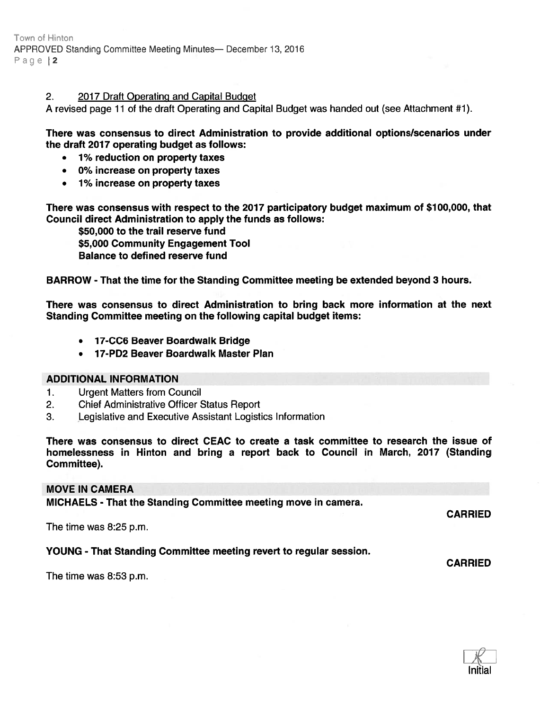#### 2. 2017 Draft Operating and Capital Budget

A revised page 11 of the draft Operating and Capital Budget was handed out (see Attachment #1).

There was consensus to direct Administration to provide additional options/scenarios under the draft 2017 operating budget as follows:

- •1% reduction on property taxes
- •0% increase on property taxes
- $\bullet$ 1% increase on property taxes

There was consensus with respec<sup>t</sup> to the 2017 participatory budget maximum of \$100,000, that Council direct Administration to apply the funds as follows:

\$50,000 to the trail reserve fund \$5,000 Community Engagement Tool

Balance to defined reserve fund

BARROW - That the time for the Standing Committee meeting be extended beyond 3 hours.

There was consensus to direct Administration to bring back more information at the next Standing Committee meeting on the following capital budget items:

- •17-CC6 Beaver Boardwalk Bridge
- •17-PD2 Beaver Boardwalk Master Plan

#### ADDITIONAL INFORMATION

- 1. Urgent Matters from Council
- 2. Chief Administrative Officer Status Report
- 3. Legislative and Executive Assistant Logistics Information

There was consensus to direct CEAC to create <sup>a</sup> task committee to research the issue of homelessness in Hinton and bring <sup>a</sup> repor<sup>t</sup> back to Council in March, 2017 (Standing Committee).

## MOVE IN CAMERA

MICHAELS - That the Standing Committee meeting move in camera.

The time was 8:25 p.m.

#### YOUNG - That Standing Committee meeting revert to regular session.

The time was 8:53 p.m.



CARRIED

CARRIED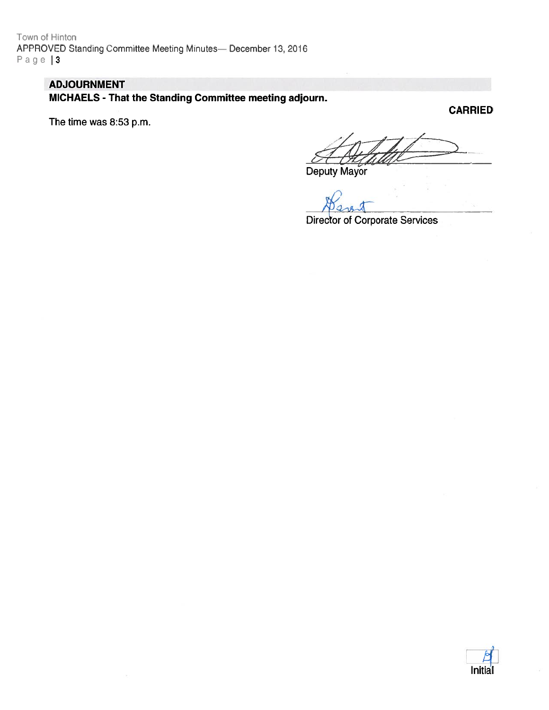Town of Hinton APPROVED Standing Committee Meeting Minutes- December 13, 2016 Page | 3

# ADJOURNMENT

MICHAELS - That the Standing Committee meeting adjourn.

The time was 8:53 p.m.

CARRIED

Deputy Mayor

Director of Corporate Services